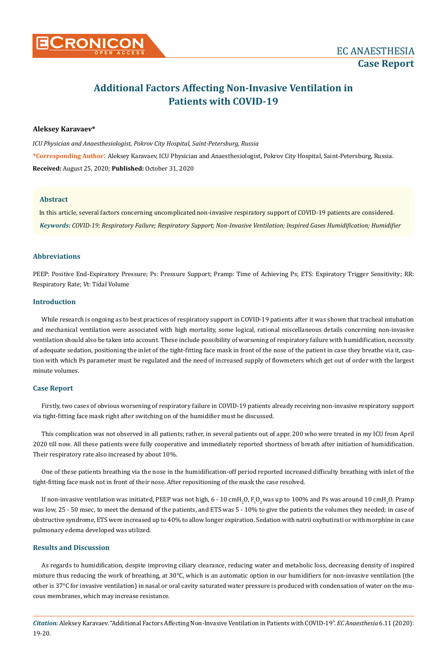

# **Additional Factors Affecting Non-Invasive Ventilation in Patients with COVID-19**

## **Aleksey Karavaev\***

*ICU Physician and Anaesthesiologist, Pokrov City Hospital, Saint-Petersburg, Russia*  **\*Corresponding Author**: Aleksey Karavaev, ICU Physician and Anaesthesiologist, Pokrov City Hospital, Saint-Petersburg, Russia. **Received:** August 25, 2020; **Published:** October 31, 2020

### **Abstract**

In this article, several factors concerning uncomplicated non-invasive respiratory support of COVID-19 patients are considered. *Keywords: COVID-19; Respiratory Failure; Respiratory Support; Non-Invasive Ventilation; Inspired Gases Humidification; Humidifier*

## **Abbreviations**

PEEP: Positive End-Expiratory Pressure; Ps: Pressure Support; Pramp: Time of Achieving Ps; ETS: Expiratory Trigger Sensitivity; RR: Respiratory Rate; Vt: Tidal Volume

### **Introduction**

While research is ongoing as to best practices of respiratory support in COVID-19 patients after it was shown that tracheal intubation and mechanical ventilation were associated with high mortality, some logical, rational miscellaneous details concerning non-invasive ventilation should also be taken into account. These include possibility of worsening of respiratory failure with humidification, necessity of adequate sedation, positioning the inlet of the tight-fitting face mask in front of the nose of the patient in case they breathe via it, caution with which Ps parameter must be regulated and the need of increased supply of flowmeters which get out of order with the largest minute volumes.

## **Case Report**

Firstly, two cases of obvious worsening of respiratory failure in COVID-19 patients already receiving non-invasive respiratory support via tight-fitting face mask right after switching on of the humidifier must be discussed.

This complication was not observed in all patients; rather, in several patients out of appr. 200 who were treated in my ICU from April 2020 till now. All these patients were fully cooperative and immediately reported shortness of breath after initiation of humidification. Their respiratory rate also increased by about 10%.

One of these patients breathing via the nose in the humidification-off period reported increased difficulty breathing with inlet of the tight-fitting face mask not in front of their nose. After repositioning of the mask the case resolved.

If non-invasive ventilation was initiated, PEEP was not high, 6 - 10 cmH<sub>2</sub>O, F<sub>i</sub>O<sub>2</sub> was up to 100% and Ps was around 10 cmH<sub>2</sub>O. Pramp was low, 25 - 50 msec, to meet the demand of the patients, and ETS was 5 - 10% to give the patients the volumes they needed; in case of obstructive syndrome, ETS were increased up to 40% to allow longer expiration. Sedation with natrii oxybutirati or with morphine in case pulmonary edema developed was utilized.

## **Results and Discussion**

As regards to humidification, despite improving ciliary clearance, reducing water and metabolic loss, decreasing density of inspired mixture thus reducing the work of breathing, at 30°C, which is an automatic option in our humidifiers for non-invasive ventilation (the other is 37°C for invasive ventilation) in nasal or oral cavity saturated water pressure is produced with condensation of water on the mucous membranes, which may increase resistance.